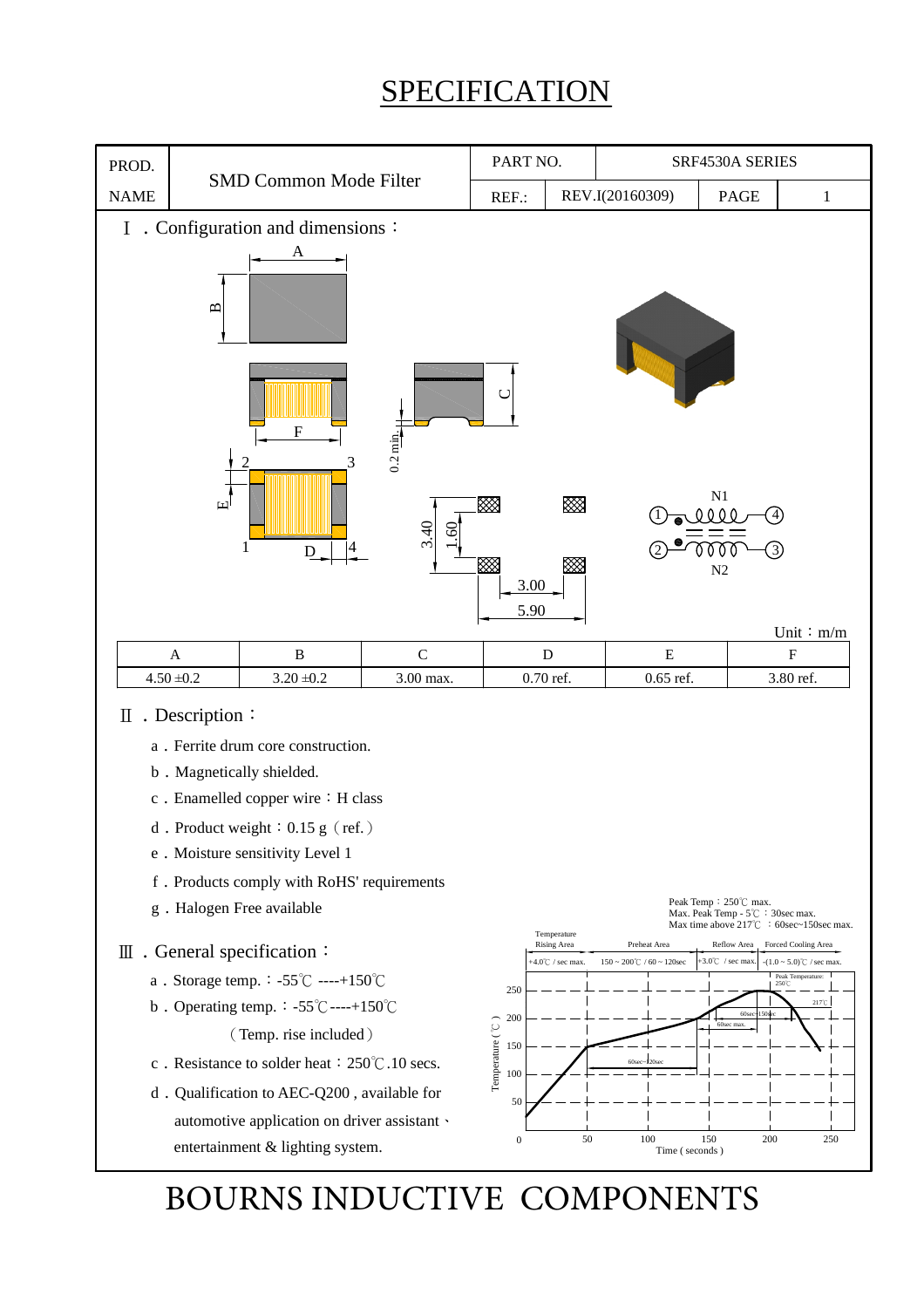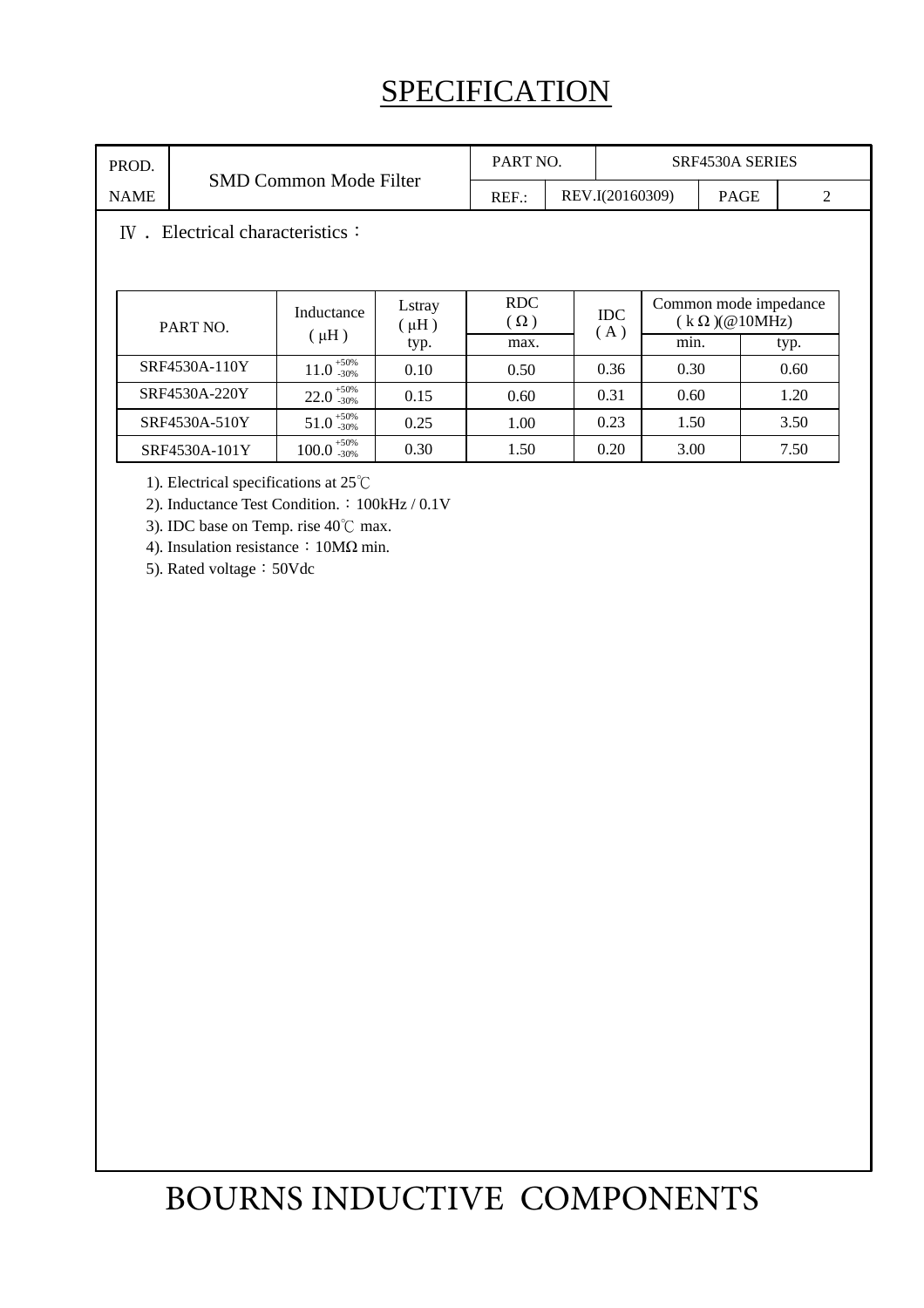| PROD.                                        | <b>SMD Common Mode Filter</b> |                         |                     | PART NO.           |  | SRF4530A SERIES   |              |             |                                               |   |  |
|----------------------------------------------|-------------------------------|-------------------------|---------------------|--------------------|--|-------------------|--------------|-------------|-----------------------------------------------|---|--|
| <b>NAME</b>                                  |                               |                         |                     | $REF$ :            |  | REV.I(20160309)   |              | <b>PAGE</b> |                                               | 2 |  |
| Electrical characteristics $\colon$<br>$W$ . |                               |                         |                     |                    |  |                   |              |             |                                               |   |  |
|                                              | PART NO.                      | Inductance<br>$(\mu H)$ | Lstray<br>$(\mu H)$ | RDC.<br>$(\Omega)$ |  | <b>IDC</b><br>(A) |              |             | Common mode impedance<br>$(k \Omega)(@10MHz)$ |   |  |
|                                              | SRF4530A-110Y                 | $11.0_{-30\%}^{+50\%}$  | typ.                | max.               |  |                   | min.<br>0.30 |             | typ.<br>0.60                                  |   |  |
|                                              |                               |                         | 0.10                | 0.50               |  | 0.36              |              |             |                                               |   |  |
|                                              | SRF4530A-220Y                 | $22.0_{-30\%}^{+50\%}$  | 0.15                | 0.60               |  | 0.31              | 0.60         |             | 1.20                                          |   |  |
|                                              | SRF4530A-510Y                 | $51.0^{+50\%}_{-30\%}$  | 0.25                | 1.00               |  | 0.23              | 1.50         |             | 3.50                                          |   |  |
|                                              | SRF4530A-101Y                 | $100.0_{-30\%}^{+50\%}$ | 0.30                | 1.50               |  | 0.20              | 3.00         |             | 7.50                                          |   |  |

1). Electrical specifications at 25℃

2). Inductance Test Condition.: 100kHz / 0.1V

3). IDC base on Temp. rise 40℃ max.

4). Insulation resistance: 10MΩ min.

5). Rated voltage: 50Vdc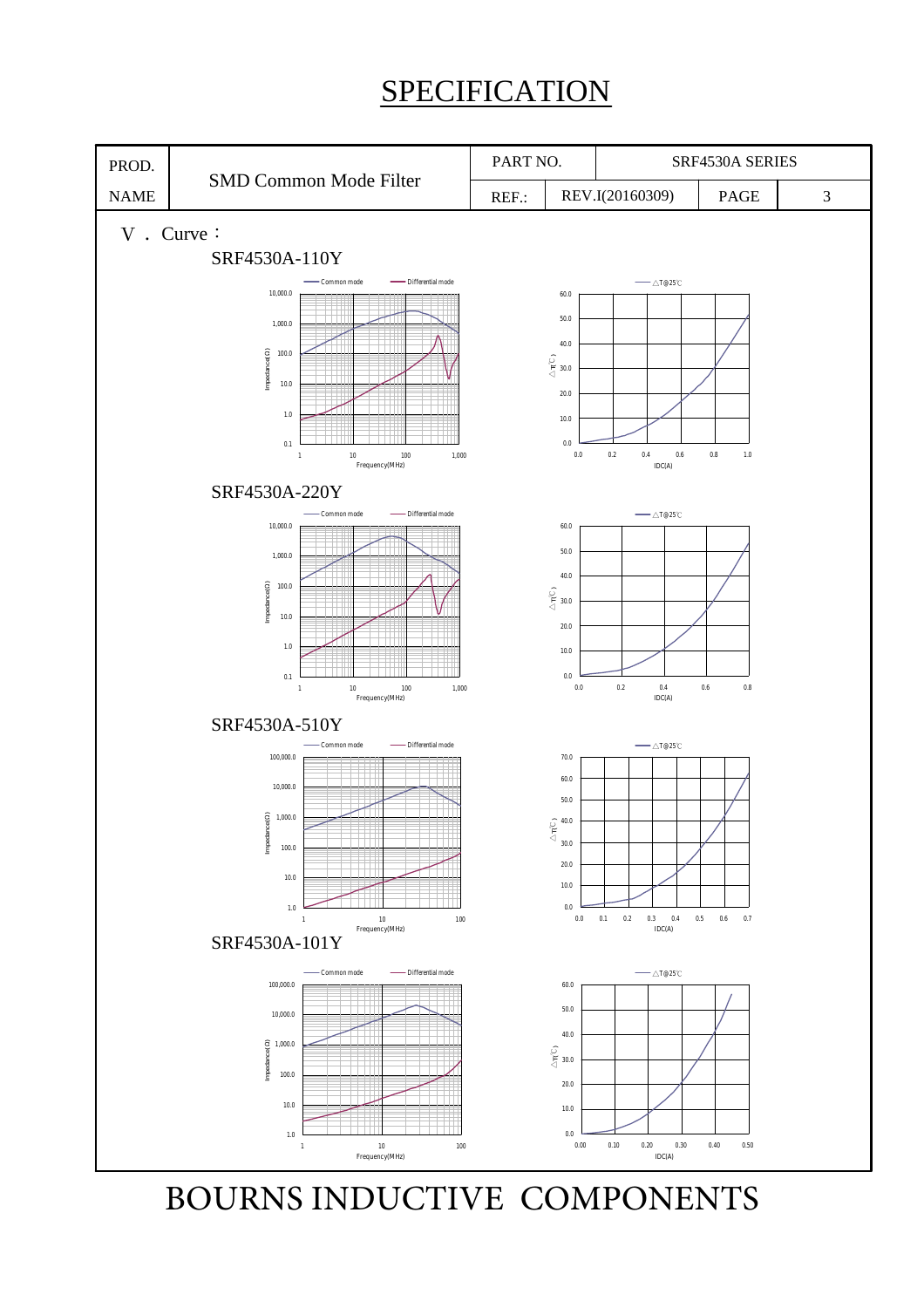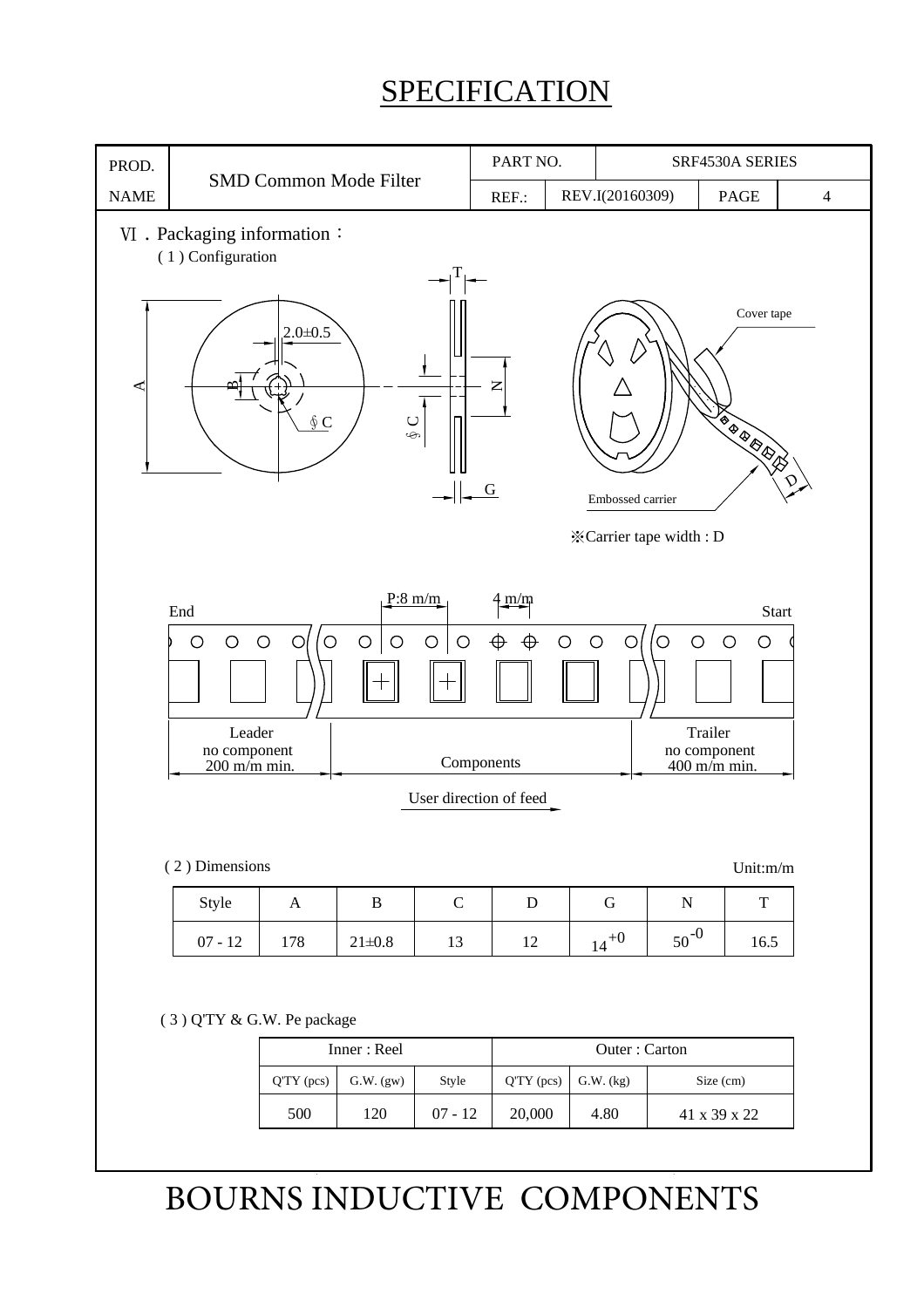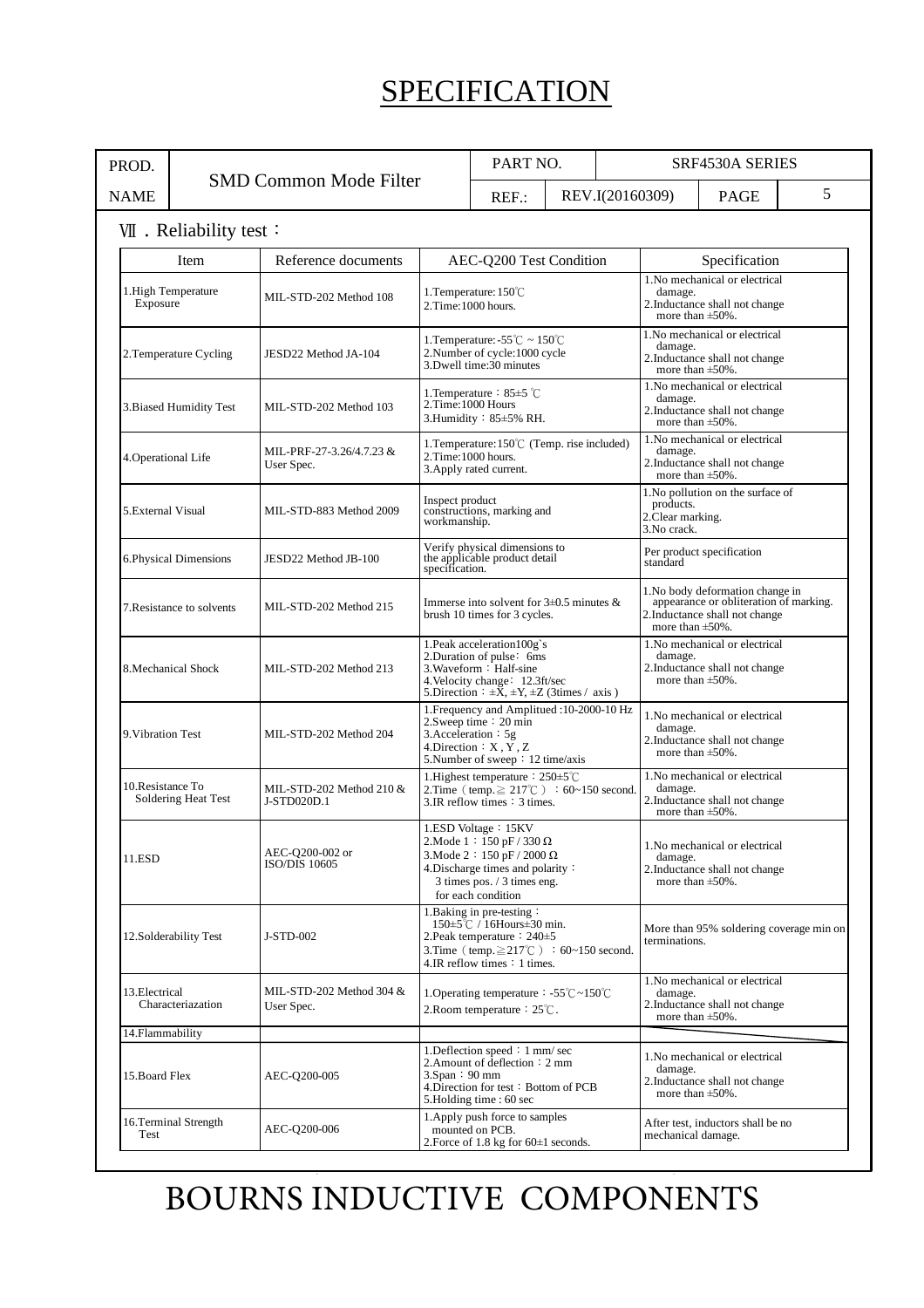| PROD.                                   |      |                                           |                                                                                                                                                                                        | PART NO. |                                                                                                                                        |                                                                                                       | <b>SRF4530A SERIES</b> |  |   |  |
|-----------------------------------------|------|-------------------------------------------|----------------------------------------------------------------------------------------------------------------------------------------------------------------------------------------|----------|----------------------------------------------------------------------------------------------------------------------------------------|-------------------------------------------------------------------------------------------------------|------------------------|--|---|--|
| <b>NAME</b>                             |      | <b>SMD Common Mode Filter</b>             |                                                                                                                                                                                        | $REF$ .: | REV.I(20160309)                                                                                                                        |                                                                                                       | PAGE                   |  | 5 |  |
| VII. Reliability test:                  |      |                                           |                                                                                                                                                                                        |          |                                                                                                                                        |                                                                                                       |                        |  |   |  |
|                                         | Item | Reference documents                       | AEC-Q200 Test Condition                                                                                                                                                                |          |                                                                                                                                        |                                                                                                       | Specification          |  |   |  |
| 1. High Temperature<br>Exposure         |      | MIL-STD-202 Method 108                    | 1.Temperature: 150°C<br>2.Time:1000 hours.                                                                                                                                             |          | 1. No mechanical or electrical<br>damage.<br>2.Inductance shall not change<br>more than $\pm$ 50%.                                     |                                                                                                       |                        |  |   |  |
| 2. Temperature Cycling                  |      | JESD22 Method JA-104                      | 1. Temperature: $-55^{\circ}$ C ~ 150 <sup>°</sup> C<br>2.Number of cycle:1000 cycle<br>3. Dwell time: 30 minutes                                                                      |          | 1. No mechanical or electrical<br>damage.<br>2. Inductance shall not change<br>more than $\pm 50\%$ .                                  |                                                                                                       |                        |  |   |  |
| 3. Biased Humidity Test                 |      | MIL-STD-202 Method 103                    | 1. Temperature $: 85 \pm 5$ °C<br>2.Time:1000 Hours<br>3. Humidity $: 85 \pm 5\%$ RH.                                                                                                  |          | 1. No mechanical or electrical<br>damage.<br>2. Inductance shall not change<br>more than $\pm$ 50%.                                    |                                                                                                       |                        |  |   |  |
| 4. Operational Life                     |      | MIL-PRF-27-3.26/4.7.23 &<br>User Spec.    | 1. Temperature: $150^{\circ}$ (Temp. rise included)<br>2.Time:1000 hours.<br>3. Apply rated current.                                                                                   |          | 1. No mechanical or electrical<br>damage.<br>2.Inductance shall not change<br>more than $\pm 50\%$ .                                   |                                                                                                       |                        |  |   |  |
| 5. External Visual                      |      | MIL-STD-883 Method 2009                   | Inspect product<br>constructions, marking and<br>workmanship.                                                                                                                          |          | 1. No pollution on the surface of<br>products.<br>2. Clear marking.<br>3. No crack.                                                    |                                                                                                       |                        |  |   |  |
| 6. Physical Dimensions                  |      | JESD22 Method JB-100                      | Verify physical dimensions to<br>the applicable product detail<br>specification.                                                                                                       |          | Per product specification<br>standard                                                                                                  |                                                                                                       |                        |  |   |  |
| 7. Resistance to solvents               |      | MIL-STD-202 Method 215                    | Immerse into solvent for $3\pm0.5$ minutes &<br>brush 10 times for 3 cycles.                                                                                                           |          | 1. No body deformation change in<br>appearance or obliteration of marking.<br>2. Inductance shall not change<br>more than $\pm 50\%$ . |                                                                                                       |                        |  |   |  |
| 8. Mechanical Shock                     |      | MIL-STD-202 Method 213                    | 1. Peak acceleration 100g's<br>2. Duration of pulse: 6ms<br>3. Waveform : Half-sine<br>4. Velocity change: $12.3$ ft/sec<br>5. Direction : $\pm X$ , $\pm Y$ , $\pm Z$ (3times / axis) |          |                                                                                                                                        | 1. No mechanical or electrical<br>damage.<br>2. Inductance shall not change<br>more than $\pm 50\%$ . |                        |  |   |  |
| 9. Vibration Test                       |      | MIL-STD-202 Method 204                    | 1. Frequency and Amplitued : 10-2000-10 Hz<br>$2.5$ weep time : 20 min<br>3. Acceleration $: 5g$<br>4. Direction $: X, Y, Z$<br>5. Number of sweep : 12 time/axis                      |          | 1. No mechanical or electrical<br>damage.<br>2. Inductance shall not change<br>more than $\pm 50\%$ .                                  |                                                                                                       |                        |  |   |  |
| 10.Resistance To<br>Soldering Heat Test |      | MIL-STD-202 Method 210 $&$<br>J-STD020D.1 | 1. Highest temperature : 250±5°C<br>2.Time (temp. $\geq 217^{\circ}$ C) : 60~150 second.<br>$3.IR$ reflow times : $3$ times.                                                           |          | 1. No mechanical or electrical<br>damage.<br>2. Inductance shall not change<br>more than $\pm$ 50%.                                    |                                                                                                       |                        |  |   |  |
| 11.ESD                                  |      | AEC-Q200-002 or<br><b>ISO/DIS 10605</b>   | 1.ESD Voltage: 15KV<br>2. Mode $1:150$ pF / 330 $\Omega$<br>3. Mode 2: 150 pF / 2000 $\Omega$<br>4. Discharge times and polarity:<br>3 times pos. / 3 times eng.<br>for each condition |          |                                                                                                                                        | 1.No mechanical or electrical<br>damage.<br>2. Inductance shall not change<br>more than $\pm 50\%$ .  |                        |  |   |  |
| 12.Solderability Test                   |      | J-STD-002                                 | 1. Baking in pre-testing :<br>150±5℃ / 16Hours±30 min.<br>2. Peak temperature : 240±5<br>3.Time (temp. $\geq$ 217°C) : 60~150 second.<br>4.IR reflow times : 1 times.                  |          | More than 95% soldering coverage min on<br>terminations.                                                                               |                                                                                                       |                        |  |   |  |
| 13. Electrical<br>Characteriazation     |      | MIL-STD-202 Method 304 &<br>User Spec.    | 1. Operating temperature : -55 $\degree$ C ~ 150 $\degree$ C<br>2. Room temperature $: 25^{\circ}\text{C}$ .                                                                           |          | 1. No mechanical or electrical<br>damage.<br>2. Inductance shall not change<br>more than $\pm 50\%$ .                                  |                                                                                                       |                        |  |   |  |
| 14.Flammability                         |      |                                           |                                                                                                                                                                                        |          |                                                                                                                                        |                                                                                                       |                        |  |   |  |
| 15. Board Flex                          |      | AEC-Q200-005                              | 1. Deflection speed : 1 mm/ sec<br>2. Amount of deflection : 2 mm<br>$3.$ Span : 90 mm<br>4. Direction for test: Bottom of PCB<br>5. Holding time: 60 sec                              |          | 1. No mechanical or electrical<br>damage.<br>2. Inductance shall not change<br>more than $\pm 50\%$ .                                  |                                                                                                       |                        |  |   |  |
| 16.Terminal Strength<br>Test            |      | AEC-Q200-006                              | 1. Apply push force to samples<br>mounted on PCB.<br>2. Force of 1.8 kg for $60\pm1$ seconds.                                                                                          |          | After test, inductors shall be no<br>mechanical damage.                                                                                |                                                                                                       |                        |  |   |  |